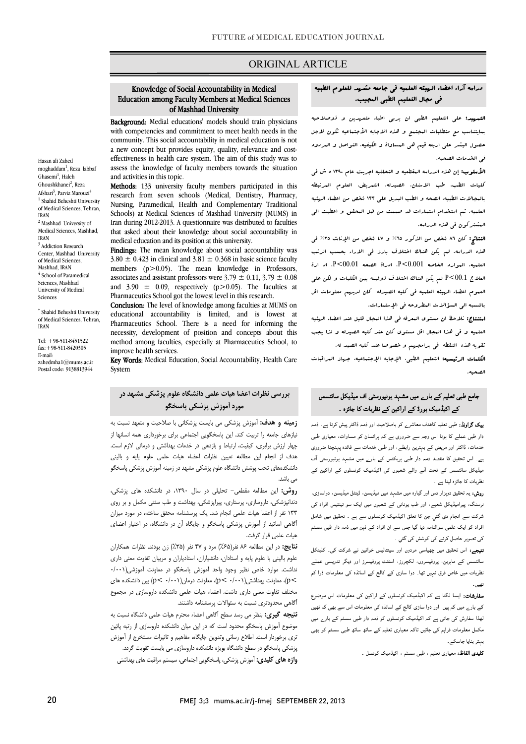## ORIGINAL ARTICLE

#### Education among Faculty Members at Medical Sciences of Mashhad University Knowledge of Social Accountability in Medical

Ī

Background: Medial educations' models should train physicians with competencies and commitment to meet health needs in the a new concept but provides equity, quality, relevance and cost- effectiveness in health care system. The aim of this study was to assess the knowledge of faculty members towards the situation community. This social accountability in medical education is not and activities in this topic.

Methods: 133 university faculty members participated in this research from seven schools (Medical, Dentistry, Pharmacy, Schools) at Medical Sciences of Mashhad University (MUMS) in Iran during 2012-2013. A questionnaire was distributed to faculties that asked about their knowledge about social accountability in Nursing, Paramedical, Health and Complementary Traditional medical education and its position at this university.

**Findings:** The mean knowledge about social accountability was  $3.80 \pm 0.423$  in clinical and  $3.81 \pm 0.368$  in basic science faculty associates and assistant professors were  $3.79 \pm 0.11$ ,  $3.79 \pm 0.08$ and  $3.90 \pm 0.09$ , respectively (p > 0.05). The faculties at Pharmaceutics School got the lowest level in this research. members (p>0.05). The mean knowledge in Professors,

 educational accountability is limited, and is lowest at Pharmaceutics School. There is a need for informing the necessity, development of position and concepts about this Conclusion: The level of knowledge among faculties at MUMS on method among faculties, especially at Pharmaceutics School, to improve health services.

 Key Words: Medical Education, Social Accountability, Health Care System

# **مورد آموزش پزشکی پاسخگو بررسی نظرات اعضا هیات علمی دانشگاه علوم پزشکی مشهد در**

 **زمینه و هدف:** آموزش پزشکی می بایست پزشکانی با صلاحیت و متعهد نسبت به نیازهاي جامعه را تربیت کند. این پاسخگویی اجتماعی براي برخورداري همه انسانها از پهر نزرش بزبری. بیبیت نزیب و برنسی در مست بهتنسی و درسی مرم سف.<br>هدف از انجام این مطالعه تعیین نظرات اعضاء هیات علمی علوم پایه و بالینی دانشکدههاي تحت پوشش دانشگاه علوم پزشکی مشهد در زمینه آموزش پزشکی پاسخگو چهار ارزش برابري، کیفیت، ارتباط و بازدهی در خدمات بهداشتی و درمانی لازم است. می باشد.

 **روش:** این مطالعه مقطعی- تحلیلی در سال ،1390 در دانشکده هاي پزشکی، دندانپزشکی، داروسازي، پرستاري، پیراپزشکی، بهداشت و طب سنتی مکمل و بر روي 133 نفر از اعضا هیات علمی انجام شد. یک پرسشنامه محقق ساخته، در مورد میزان آگاهی اساتید از آموزش پزشکی پاسخگو و جایگاه آن در دانشگاه، در اختیار اعضاي هیات علمی قرار گرفت.

 **نتایج:** در این مطالعه 86 نفر(%65) مرد و 47 نفر (%35) زن بودند. نظرات همکاران علمی با علوم بالین با علوم بالین با استادیاران و مربیان تفاوت معنی داری<br>علوم بالینی با علوم پایه و استادان، دانشیاران، استادیاران و مربیان تفاوت معنی داری نداشت. موارد خاص نظیر وجود واحد آموزش پاسخگو در معاونت آموزشی(0/001 >p(، معاونت بهداشتی(0/001 >p(، معاونت درمان(0/001 >p (بین دانشکده هاي مختلف تفاوت معنی داري داشت. اعضاء هیات علمی دانشکده داروسازي در مجموع آگاهی محدودتري نسبت به سئوالات پرسشنامه داشتند.

 **نتیجه گیري:** بنظر می رسد سطح آگاهی اعضاء محترم هیات علمی دانشگاه نسبت به موضوع آموزش پاسخگو محدود است که در این میان دانشکده داروسازي از رتبه پائین بری بر بررد است. اما در سای وسوین چیامه، سامیه و میبرات مستانی از امور<br>پزشکی پاسخگو در سطح دانشگاه بویژه دانشکده داروسازی می بایست تقویت گردد. تري برخوردار است. اطلاع رسانی وتدوین جایگاه، مفاهیم و تاثیرات مستخرج از آموزش

**واژه هاي کلیدي:** آموزش پزشکی، پاسخگویی اجتماعی، سیستم مراقبت هاي بهداشتی

#### دراسه آراء اعضاء الهیئه العلمیه فی جامعه مشهد للعلوم الطبیه j فی مجال التعلیم الطبی المجیب.

I

التهمید: علی التعلیم الطبی ان یربی اطباء متعرسین و ذوصلاحیه<br>educations' models should train physicians التهمیدین الطبی العامل العامل العامل و educations' models should train بمایتناسب مع متطلبات المجتمع و هذه الاجابه الأجتماعیه تکون لاجل حصول البشر علی اربعه قیم هی المساواة و الکیفیه، التواصل و المردود فی الخدمات الصحیه.

> الأسلوب: إن هذه الدراسه المقطعیه و التحللیه اجریت عام 1390 ه ش فی کلیات الطب، طب الاسنان، الصیدله، التمریض، العلوم المرتبطه بالمجالات الطبیه، الصحه و الطب البدیل علی 133 شخص من اعضاء الهئیه العلمیه. تم استخدام استمارات قد صممت من قبل المحقق و اعطیت الی المشترکون فی هذه الدراسه.

> النتائج: کان 86 شخص من الذکور %65 و 47 شخص من الإناث %35 فی هذه الدراسه. لم یکن هناك اختلاف بارز فی الاراء بحسب الرتب العلمیه. الموارد الخاصه 0.001>P، ادراة الصحه 00.01>P، اد ارة العلاج 00.1>P لم یکن هناك اختلاف ذوقیمه بین الکلیات و لکن علی العموم اعضاء الهیئه العلمیه فی کلیه الصیدله کان لدیهم معلومات اقل بالنسبه الی السؤالات المطروحه فی الإستمارات.

> استنتاج: نلاحظ ان مستوي المعرفه فی هذا المجال قلیل عند اعضاء الهئیه العلمیه و فی هذا المجال اقل مستوي کان عند کلیه الصیدله و لذا یجب تقویه هذه النقطه فی برامجهم و خصوصا عند کلیه الصید له.

> الکلمات الرئیسیه: التعلیم الطبی، الإجابه الإجتماعیه، جهاز المراقبات الصحیه.

## جامع طب*ی* تعلیم کے بار<sub>ے</sub> میں مشہد یونیورسٹی اف میڈیکل سائنسس<br>۔ کے اکیڈمیک بورڈ کے اراکین کے ن<mark>ظ</mark>ریات کا جائزہ ۔

**بیک گراونڈ:** طبی تعلیم کاہدف معاشر<sub>ے</sub> کو باصلاحیت اور ذمہ ڈاکٹر پیش کرنا ہے۔ ذمہ دار طبی عملے کا ہونا اس وجہ سے ضروری ہے کہ ہرانسان کو مساوات، معیاری طبی فدمات، ڈاکٹر اور مریض کے بہترین رابطے، اور طبی خدمات سے فائدہ پہنچنا ضروری ہے. اس تحییٰ تا سنند منہ مار نبی پریائش نے بارے میں سنہد یویورسی ات<br>بیڈیکل سائنسس کے تحت آنے والے شعبوں کی اکیڈمیک کونسلوں کے اراکین کے ۔ ۔ ۔ ۔<br>ظریات کا جائزہ لینا ہے ۔ ہے۔ اس تحقیق کا مقصد ذمہ دار طبی یریکٹس کے بار<sub>ے</sub> میں مشہد یونیورسٹی آف

.<br>ر**وش:** یہ تحقیق دوہزار دس اور گیارہ میں مشہد میں میڈیسن، ڈینٹل میڈیسن، دواسازی، .<br>رسنگ، پیرامیڈیکل شعبے، اور طب یونانی کے شعبوں میں ایک سو تینتیس افراد کی شرکت سے انجام دی گئي جن کا تعلق اکیڈمیک کونسلوں سے ہے ۔ تحقیق میں شامل افراد کو ایک علمی سوالنامہ دیا گیا جس سے ان افراد کے ذہن میں ذمہ دار طبی سسٹم کی تصویر حاصل کرنے کی کوشش کی گئي ۔

**تیجے:** اس تحقیق میں چھیاسی مردوں اور سینتالیس خواتین نے شرکت کی۔ کلینکل<br>۔ سائنسس کے ماہرین، پروفیسروں، لکچررز، اسٹنٹ پروفیسرز اور دیگر تدریسی عملے<br>. نظریات میں خاص فرق نہیں تھا۔ دوا سازی کے کالج کے اساتذہ کی معلومات ذرا کم<br>۔ <u>ھيں</u>۔

۔۔۔<br>**سفارشات:** ایسا لگتا ہے کہ اکیڈمیک کونسلوں کے اراکین کی معلومات اس موضوع ۔<br>کے بارے میں کم ہیں اور دوا سازی کالج کے اساتذہ کی معلومات اس سے بھی کم تھیں ۔<br>نھذا سفارش کی جاتی ہے کہ اکیڈمیک کونسلوں کو ذمہ دار طبی سسٹم کے بار<sub>ے</sub> میں مکمل معلومات فراہم کی جائیں تاکہ معیاری تعلیم کے ساتھ ساتھ طبی سسٹم کو بھی بہتر بنایا جاسکے۔

**کلیدی الفاظ:** معیاری تعلیم ، طبی سسٹم ، اکیڈمیک کونسل <sub>-</sub>

Hasan ali Zahed moghaddam<sup>1</sup>, Reza labbaf Ghasemi<sup>1</sup>, Haleh Ghoushkhanei<sup>2</sup>, Reza Afshari<sup>3</sup>, Parviz Marouzi<sup>4</sup> <sup>1</sup> Shahid Beheshti University of Medical Sciences, Tehran, IRAN <sup>2</sup> Mashhad University of Medical Sciences, Mashhad, IRAN <sup>3</sup> Addiction Research Center, Mashhad University of Medical Sciences, Mashhad, IRAN <sup>4</sup> School of Paramedical Sciences, Mashhad University of Medical Sciences

\* Shahid Beheshti University of Medical Sciences, Tehran, IRAN

Tel: +98-511-8451522 fax:+98-511-8420305 E-mail: zahedmha1@mums.ac.ir Postal code: 9138813944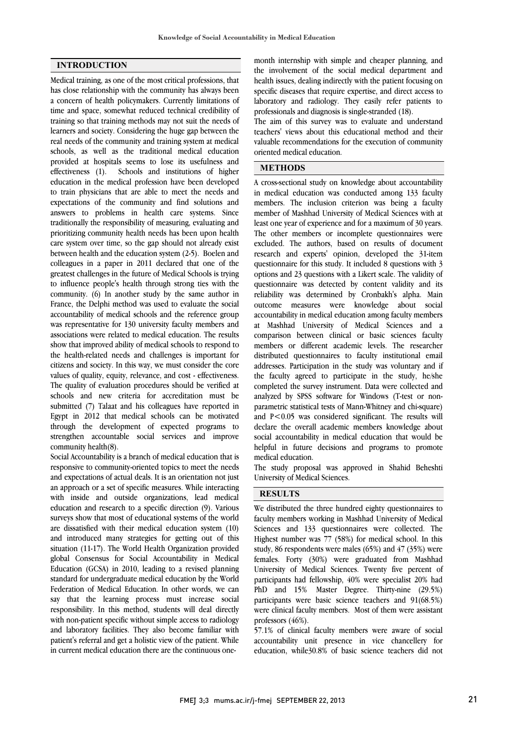#### **INTRODUCTION**

Medical training, as one of the most critical professions, that has close relationship with the community has always been a concern of health policymakers. Currently limitations of time and space, somewhat reduced technical credibility of training so that training methods may not suit the needs of learners and society. Considering the huge gap between the real needs of the community and training system at medical schools, as well as the traditional medical education provided at hospitals seems to lose its usefulness and effectiveness (1). Schools and institutions of higher education in the medical profession have been developed to train physicians that are able to meet the needs and expectations of the community and find solutions and answers to problems in health care systems. Since traditionally the responsibility of measuring, evaluating and prioritizing community health needs has been upon health care system over time, so the gap should not already exist between health and the education system (2-5). Boelen and colleagues in a paper in 2011 declared that one of the greatest challenges in the future of Medical Schools is trying to influence people's health through strong ties with the community. (6) In another study by the same author in France, the Delphi method was used to evaluate the social accountability of medical schools and the reference group was representative for 130 university faculty members and associations were related to medical education. The results show that improved ability of medical schools to respond to the health-related needs and challenges is important for citizens and society. In this way, we must consider the core values of quality, equity, relevance, and cost - effectiveness. The quality of evaluation procedures should be verified at schools and new criteria for accreditation must be submitted (7) Talaat and his colleagues have reported in Egypt in 2012 that medical schools can be motivated through the development of expected programs to strengthen accountable social services and improve community health(8).

Social Accountability is a branch of medical education that is responsive to community-oriented topics to meet the needs and expectations of actual deals. It is an orientation not just an approach or a set of specific measures. While interacting with inside and outside organizations, lead medical education and research to a specific direction (9). Various surveys show that most of educational systems of the world are dissatisfied with their medical education system (10) and introduced many strategies for getting out of this situation (11-17). The World Health Organization provided global Consensus for Social Accountability in Medical Education (GCSA) in 2010, leading to a revised planning standard for undergraduate medical education by the World Federation of Medical Education. In other words, we can say that the learning process must increase social responsibility. In this method, students will deal directly with non-patient specific without simple access to radiology and laboratory facilities. They also become familiar with patient's referral and get a holistic view of the patient. While in current medical education there are the continuous one month internship with simple and cheaper planning, and the involvement of the social medical department and health issues, dealing indirectly with the patient focusing on specific diseases that require expertise, and direct access to professionals and diagnosis is single-stranded (18). laboratory and radiology. They easily refer patients to

 The aim of this survey was to evaluate and understand teachers' views about this educational method and their valuable recommendations for the execution of community  $\overline{\phantom{a}}$ oriented medical education.

### **METHODS**

 A cross-sectional study on knowledge about accountability in medical education was conducted among 133 faculty member of Mashhad University of Medical Sciences with at least one year of experience and for a maximum of 30 years. The other members or incomplete questionnaires were excluded. The authors, based on results of document questionnaire for this study. It included 8 questions with 3 options and 23 questions with a Likert scale. The validity of questionnaire was detected by content validity and its reliability was determined by Cronbakh's alpha. Main accountability in medical education among faculty members at Mashhad University of Medical Sciences and a comparison between clinical or basic sciences faculty members or different academic levels. The researcher addresses. Participation in the study was voluntary and if the faculty agreed to participate in the study, he/she completed the survey instrument. Data were collected and analyzed by SPSS software for Windows (T-test or non- and P<0.05 was considered significant. The results will declare the overall academic members knowledge about social accountability in medical education that would be helpful in future decisions and programs to promote members. The inclusion criterion was being a faculty research and experts' opinion, developed the 31-item outcome measures were knowledge about social distributed questionnaires to faculty institutional email parametric statistical tests of Mann-Whitney and chi-square) medical education.

 The study proposal was approved in Shahid Beheshti University of Medical Sciences.

# **RESULTS**

 We distributed the three hundred eighty questionnaires to faculty members working in Mashhad University of Medical Sciences and 133 questionnaires were collected. The Highest number was 77 (58%) for medical school. In this study, 86 respondents were males (65%) and 47 (35%) were University of Medical Sciences. Twenty five percent of participants had fellowship, 40% were specialist 20% had PhD and 15% Master Degree. Thirty-nine (29.5%) participants were basic science teachers and 91(68.5%) professors (46%). females. Forty (30%) were graduated from Mashhad were clinical faculty members. Most of them were assistant

 57.1% of clinical faculty members were aware of social accountability unit presence in vice chancellery for education, while30.8% of basic science teachers did not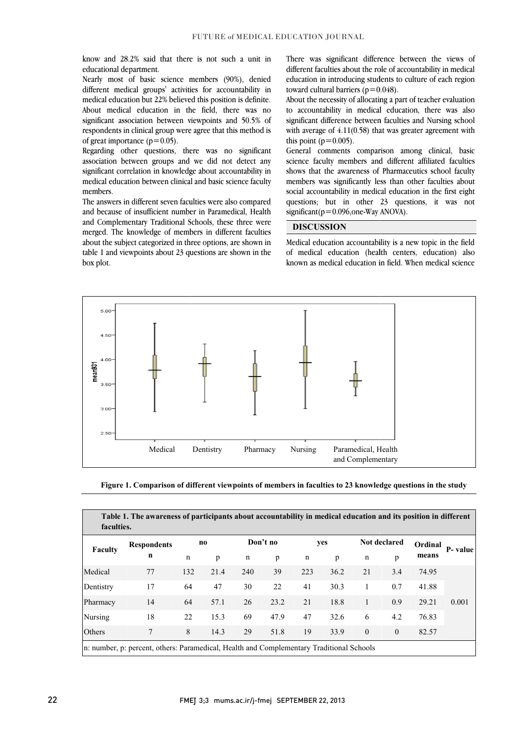know and 28.2% said that there is not such a unit in educational department.<br>Nearly most of basic science members (90%), denied educational department.

Nearly most of basic science members ( different medical groups' activities for accountability in medical education but 22% believed this position is definite. About medical education in the field, there was no significant association between viewpoints and 50.5% of respondents in clinical group were agree that this method is of great importance  $(p=0.05)$ .

 $\frac{1}{2}$  or great importance  $(p = 0.05)$ .<br>Regarding other questions, there was no significant association between groups and we did not detect any significant correlation in knowledge about accountability in medical education between clinical and basic science faculty members.

The answers in different seven faculties were also compared and because of insufficient number in Paramedical, Health and Complementary Traditional Schools, these three were merged. The knowledge of members in different faculties about the subject categorized in three options, are shown in table 1 and viewpoints about 23 questions are shown in the box plot. Exame of insufficient number in Paramedical, Health<br>
Significant ( $p=0.09$ )<br>
Complementary Traditional Schools, these three were<br>
d. The knowledge of members in different faculties<br>
the subject categorized in three option

There was significant difference between the views of different faculties about the role of accountability in medical education in introducing students to culture of each region toward cultural barriers ( $p=0.048$ ). different faculties about the role of accountability in medical education in introducing students to culture of each region toward cultural barriers ( $p=0.048$ ).

 $A$ bout the necessity of allocating a part of teacher evaluation to accountability in medical education, there was also significant difference between faculties and Nursing school with average of 4.11(0.58) that was greater agreement w this point  $(p=0.005)$ . About the necessity of allocating a part of teacher evaluation<br>to accountability in medical education, there was also<br>significant difference between faculties and Nursing school<br>with average of  $4.11(0.58)$  that was great

General comments comparison among clinical, basic science faculty members and different affiliated faculties shows that the awareness of Pharmaceutics school faculty members was significantly less than other faculties about social accountability in medical education in the first eight social accountability in included collection in the<br>questions; but in other 23 questions, it significant( $p=0.096$ , one-Way ANOVA). nts comparison among clinical, basic<br>tembers and different affiliated faculties<br>vareness of Pharmaceutics school faculty<br>nificantly less than other faculties about<br>ity in medical education in the first eight<br>in other 23 qu

 $\frac{\text{significant}(p=0.096, \text{one-Way ANOVA})}{\text{DISCUSSION}}$ <br>
Medical education accountability is a new topic in the field of medical education (health centers, education) also of medical education (health centers, education) als known as medical education in field. When medical science When medical l,

İ



**Figure 1. Comparison of different viewpoints of members in faculties to 23 knowledge questions in the study** 

| Table 1. The awareness of participants about accountability in medical education and its position in different<br>faculties. |                                                                                          |     |      |          |      |     |      |                     |              |         |         |
|------------------------------------------------------------------------------------------------------------------------------|------------------------------------------------------------------------------------------|-----|------|----------|------|-----|------|---------------------|--------------|---------|---------|
| Faculty                                                                                                                      | <b>Respondents</b><br>n                                                                  | no  |      | Don't no |      | yes |      | <b>Not declared</b> |              | Ordinal | P-value |
|                                                                                                                              |                                                                                          | n   | p    | n        | p    | n   | p    | n                   | p            | means   |         |
| Medical                                                                                                                      | 77                                                                                       | 132 | 21.4 | 240      | 39   | 223 | 36.2 | 21                  | 3.4          | 74.95   | 0.001   |
| Dentistry                                                                                                                    | 17                                                                                       | 64  | 47   | 30       | 22   | 41  | 30.3 | 1                   | 0.7          | 41.88   |         |
| Pharmacy                                                                                                                     | 14                                                                                       | 64  | 57.1 | 26       | 23.2 | 21  | 18.8 | 1                   | 0.9          | 29.21   |         |
| <b>Nursing</b>                                                                                                               | 18                                                                                       | 22  | 15.3 | 69       | 47.9 | 47  | 32.6 | 6                   | 4.2          | 76.83   |         |
| Others                                                                                                                       | $\tau$                                                                                   | 8   | 14.3 | 29       | 51.8 | 19  | 33.9 | $\theta$            | $\mathbf{0}$ | 82.57   |         |
|                                                                                                                              | n: number, p. percent, others: Paramedical, Health and Complementary Traditional Schools |     |      |          |      |     |      |                     |              |         |         |